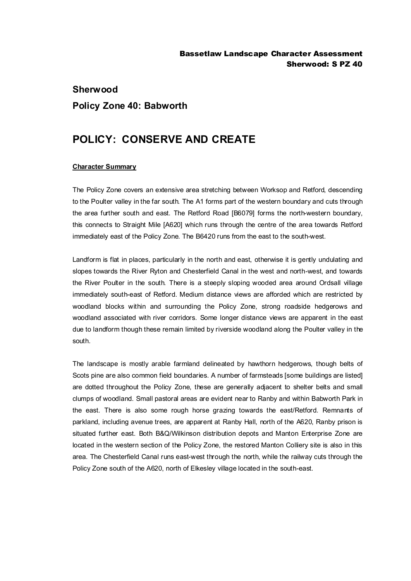## **Sherwood Policy Zone 40: Babworth**

## **POLICY: CONSERVE AND CREATE**

## **Character Summary**

The Policy Zone covers an extensive area stretching between Worksop and Retford, descending to the Poulter valley in the far south. The A1 forms part of the western boundary and cuts through the area further south and east. The Retford Road [B6079] forms the north-western boundary, this connects to Straight Mile [A620] which runs through the centre of the area towards Retford immediately east of the Policy Zone. The B6420 runs from the east to the south-west.

Landform is flat in places, particularly in the north and east, otherwise it is gently undulating and slopes towards the River Ryton and Chesterfield Canal in the west and north-west, and towards the River Poulter in the south. There is a steeply sloping wooded area around Ordsall village immediately south-east of Retford. Medium distance views are afforded which are restricted by woodland blocks within and surrounding the Policy Zone, strong roadside hedgerows and woodland associated with river corridors. Some longer distance views are apparent in the east due to landform though these remain limited by riverside woodland along the Poulter valley in the south.

The landscape is mostly arable farmland delineated by hawthorn hedgerows, though belts of Scots pine are also common field boundaries. A number of farmsteads [some buildings are listed] are dotted throughout the Policy Zone, these are generally adjacent to shelter belts and small clumps of woodland. Small pastoral areas are evident near to Ranby and within Babworth Park in the east. There is also some rough horse grazing towards the east/Retford. Remnants of parkland, including avenue trees, are apparent at Ranby Hall, north of the A620, Ranby prison is situated further east. Both B&Q/Wilkinson distribution depots and Manton Enterprise Zone are located in the western section of the Policy Zone, the restored Manton Colliery site is also in this area. The Chesterfield Canal runs east-west through the north, while the railway cuts through the Policy Zone south of the A620, north of Elkesley village located in the south-east.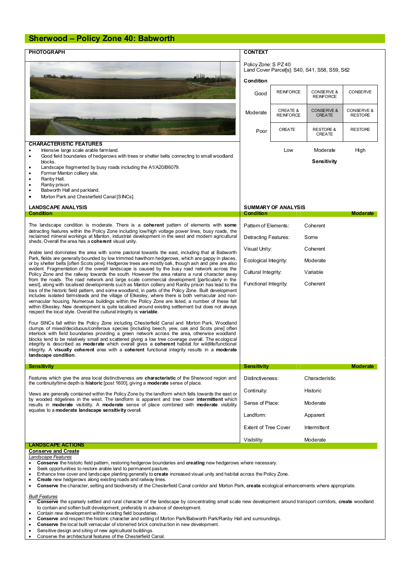## **Sherwood – Policy Zone 40: Babworth**

| <b>PHOTOGRAPH</b>                                                                                                                                                                                                                                                                                                                                                                                                                                                                                                                                                                                                                                                                                                                                                                                                                                                                                                                                                                                                                                                                                                                                                                                                 | <b>CONTEXT</b>                                                                     |                                              |                                        |                              |  |
|-------------------------------------------------------------------------------------------------------------------------------------------------------------------------------------------------------------------------------------------------------------------------------------------------------------------------------------------------------------------------------------------------------------------------------------------------------------------------------------------------------------------------------------------------------------------------------------------------------------------------------------------------------------------------------------------------------------------------------------------------------------------------------------------------------------------------------------------------------------------------------------------------------------------------------------------------------------------------------------------------------------------------------------------------------------------------------------------------------------------------------------------------------------------------------------------------------------------|------------------------------------------------------------------------------------|----------------------------------------------|----------------------------------------|------------------------------|--|
|                                                                                                                                                                                                                                                                                                                                                                                                                                                                                                                                                                                                                                                                                                                                                                                                                                                                                                                                                                                                                                                                                                                                                                                                                   | Policy Zone: S PZ 40<br>Land Cover Parcel[s]: S40, S41, S58, S59, S62<br>Condition |                                              |                                        |                              |  |
|                                                                                                                                                                                                                                                                                                                                                                                                                                                                                                                                                                                                                                                                                                                                                                                                                                                                                                                                                                                                                                                                                                                                                                                                                   | Good                                                                               | <b>REINFORCE</b>                             | CONSERVE &<br><b>REINFORCE</b>         | <b>CONSERVE</b>              |  |
|                                                                                                                                                                                                                                                                                                                                                                                                                                                                                                                                                                                                                                                                                                                                                                                                                                                                                                                                                                                                                                                                                                                                                                                                                   | Moderate                                                                           | <b>CREATE &amp;</b><br><b>REINFORCE</b>      | <b>CONSERVE &amp;</b><br><b>CREATE</b> | CONSERVE &<br><b>RESTORE</b> |  |
|                                                                                                                                                                                                                                                                                                                                                                                                                                                                                                                                                                                                                                                                                                                                                                                                                                                                                                                                                                                                                                                                                                                                                                                                                   | Poor                                                                               | CREATE                                       | <b>RESTORE &amp;</b><br><b>CREATE</b>  | <b>RESTORE</b>               |  |
| <b>CHARACTERISTIC FEATURES</b>                                                                                                                                                                                                                                                                                                                                                                                                                                                                                                                                                                                                                                                                                                                                                                                                                                                                                                                                                                                                                                                                                                                                                                                    |                                                                                    |                                              |                                        |                              |  |
| Intensive large scale arable farmland.<br>$\bullet$<br>Good field boundaries of hedgerows with trees or shelter belts connecting to small woodland<br>$\bullet$<br>blocks.<br>Landscape fragmented by busy roads including the A1/A20/B6079.<br>$\bullet$                                                                                                                                                                                                                                                                                                                                                                                                                                                                                                                                                                                                                                                                                                                                                                                                                                                                                                                                                         | Low<br>Moderate<br>Sensitivity                                                     |                                              |                                        | High                         |  |
| Former Manton colliery site.<br>$\bullet$<br>Ranby Hall.<br>$\bullet$<br>Ranby prison.<br>٠                                                                                                                                                                                                                                                                                                                                                                                                                                                                                                                                                                                                                                                                                                                                                                                                                                                                                                                                                                                                                                                                                                                       |                                                                                    |                                              |                                        |                              |  |
| Babworth Hall and parkland.<br>٠                                                                                                                                                                                                                                                                                                                                                                                                                                                                                                                                                                                                                                                                                                                                                                                                                                                                                                                                                                                                                                                                                                                                                                                  |                                                                                    |                                              |                                        |                              |  |
| Morton Park and Chesterfield Canal [SINCs].<br>$\bullet$                                                                                                                                                                                                                                                                                                                                                                                                                                                                                                                                                                                                                                                                                                                                                                                                                                                                                                                                                                                                                                                                                                                                                          |                                                                                    |                                              |                                        |                              |  |
| <b>LANDSCAPE ANALYSIS</b><br>Condition                                                                                                                                                                                                                                                                                                                                                                                                                                                                                                                                                                                                                                                                                                                                                                                                                                                                                                                                                                                                                                                                                                                                                                            | <b>SUMMARY OF ANALYSIS</b><br><b>Condition</b><br><b>Moderate</b>                  |                                              |                                        |                              |  |
|                                                                                                                                                                                                                                                                                                                                                                                                                                                                                                                                                                                                                                                                                                                                                                                                                                                                                                                                                                                                                                                                                                                                                                                                                   |                                                                                    |                                              |                                        |                              |  |
| The landscape condition is moderate. There is a <b>coherent</b> pattern of elements with <b>some</b><br>detracting features within the Policy Zone including low/high voltage power lines, busy roads, the<br>reclaimed mineral workings at Manton, industrial development in the west and modern agricultural                                                                                                                                                                                                                                                                                                                                                                                                                                                                                                                                                                                                                                                                                                                                                                                                                                                                                                    |                                                                                    | Pattern of Elements:<br>Detracting Features: | Coherent<br>Some                       |                              |  |
| sheds. Overall the area has a coherent visual unity.                                                                                                                                                                                                                                                                                                                                                                                                                                                                                                                                                                                                                                                                                                                                                                                                                                                                                                                                                                                                                                                                                                                                                              |                                                                                    |                                              | Coherent                               |                              |  |
| Arable land dominates the area with some pastoral towards the east, including that at Babworth<br>Park, fields are generally bounded by low trimmed hawthorn hedgerows, which are gappy in places,<br>or by shelter belts [often Scots pine]. Hedgerow trees are mostly oak, though ash and pine are also<br>evident. Fragmentation of the overall landscape is caused by the busy road network across the<br>Policy Zone and the railway towards the south. However the area retains a rural character away<br>from the roads. The road network and large scale commercial development [particularly in the<br>west], along with localised developments such as Manton colliery and Ranby prison has lead to the<br>loss of the historic field pattern, and some woodland, in parts of the Policy Zone. Built development<br>includes isolated farmsteads and the village of Elkesley, where there is both vernacular and non-<br>vernacular housing. Numerous buildings within the Policy Zone are listed, a number of these fall<br>within Elkesley. New development is quite localised around existing settlement but does not always<br>respect the local style. Overall the cultural integrity is variable. | Visual Unity:<br>Ecological Integrity:                                             |                                              | Moderate                               |                              |  |
|                                                                                                                                                                                                                                                                                                                                                                                                                                                                                                                                                                                                                                                                                                                                                                                                                                                                                                                                                                                                                                                                                                                                                                                                                   |                                                                                    |                                              |                                        |                              |  |
|                                                                                                                                                                                                                                                                                                                                                                                                                                                                                                                                                                                                                                                                                                                                                                                                                                                                                                                                                                                                                                                                                                                                                                                                                   | Cultural Integrity:<br>Functional Integrity.                                       |                                              | Variable<br>Coherent                   |                              |  |
| Four SINCs fall within the Policy Zone including Chesterfield Canal and Morton Park. Woodland<br>clumps of mixed/deciduous/coniferous species [including beech, yew, oak and Scots pine] often<br>interlock with field boundaries providing a green network across the area, otherwise woodland<br>blocks tend to be relatively small and scattered giving a low tree coverage overall. The ecological<br>integrity is described as <b>moderate</b> which overall gives a <b>coherent</b> habitat for wildlife/functional<br>integrity. A visually coherent area with a coherent functional integrity results in a moderate<br>landscape condition.                                                                                                                                                                                                                                                                                                                                                                                                                                                                                                                                                               |                                                                                    |                                              |                                        |                              |  |
| Sensitivity                                                                                                                                                                                                                                                                                                                                                                                                                                                                                                                                                                                                                                                                                                                                                                                                                                                                                                                                                                                                                                                                                                                                                                                                       | <b>Sensitivity</b>                                                                 |                                              |                                        | <b>Moderate</b>              |  |
| Features which give the area local distinctiveness are <b>characteristic</b> of the Sherwood region and<br>the continuity/time depth is <b>historic</b> [post 1600], giving a <b>moderate</b> sense of place.                                                                                                                                                                                                                                                                                                                                                                                                                                                                                                                                                                                                                                                                                                                                                                                                                                                                                                                                                                                                     | Distinctiveness:                                                                   |                                              | Characteristic                         |                              |  |
| Views are generally contained within the Policy Zone by the landform which falls towards the east or<br>by wooded ridgelines in the west. The landform is apparent and tree cover intermittent which<br>results in moderate visibility. A moderate sense of place combined with moderate visibility<br>equates to a moderate landscape sensitivity overall.                                                                                                                                                                                                                                                                                                                                                                                                                                                                                                                                                                                                                                                                                                                                                                                                                                                       | Continuity:                                                                        |                                              | Historic                               |                              |  |
|                                                                                                                                                                                                                                                                                                                                                                                                                                                                                                                                                                                                                                                                                                                                                                                                                                                                                                                                                                                                                                                                                                                                                                                                                   | Sense of Place:<br>Moderate                                                        |                                              |                                        |                              |  |
|                                                                                                                                                                                                                                                                                                                                                                                                                                                                                                                                                                                                                                                                                                                                                                                                                                                                                                                                                                                                                                                                                                                                                                                                                   |                                                                                    | Landform:<br>Apparent                        |                                        |                              |  |
|                                                                                                                                                                                                                                                                                                                                                                                                                                                                                                                                                                                                                                                                                                                                                                                                                                                                                                                                                                                                                                                                                                                                                                                                                   | <b>Extent of Tree Cover</b><br>Visibility:                                         |                                              | Intermittent                           |                              |  |
|                                                                                                                                                                                                                                                                                                                                                                                                                                                                                                                                                                                                                                                                                                                                                                                                                                                                                                                                                                                                                                                                                                                                                                                                                   |                                                                                    |                                              | Moderate                               |                              |  |
| <b>LANDSCAPE ACTIONS</b><br><b>Conserve and Create</b><br>Landscape Features<br>Conserve the historic field pattern, restoring hedgerow boundaries and creating new hedgerows where necessary.<br>٠<br>Seek opportunities to restore arable land to permanent pasture.<br>٠<br>Enhance tree cover and landscape planting generally to create increased visual unity and habitat across the Policy Zone.<br>$\bullet$<br>Create new hedgerows along existing roads and railway lines.<br>$\bullet$<br>Conserve the character, setting and biodiversity of the Chesterfield Canal corridor and Morton Park, create ecological enhancements where appropriate.<br>٠<br><b>Built Features</b><br>Conserve the sparsely settled and rural character of the landscape by concentrating small scale new development around transport corridors, create woodland                                                                                                                                                                                                                                                                                                                                                          |                                                                                    |                                              |                                        |                              |  |

- to contain and soften built development, preferably in advance of development.
- 
- · Contain new development within existing field boundaries. · **Conserve** and respect the historic character and setting of Morton Park/Babworth Park/Ranby Hall and surroundings.
- · **Conserve** the local built vernacular of stone/red brick construction in new development.
- Sensitive design and siting of new agricultural buildings.
- · Conserve the architectural features of the Chesterfield Canal.